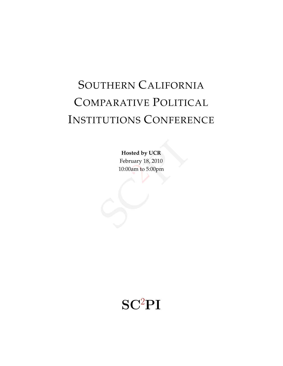# SOUTHERN CALIFORNIA COMPARATIVE POLITICAL INSTITUTIONS CONFERENCE

sted by UCR<br>
ruary 18, 2010<br>
Dam to 5:00pm **Hosted by UCR** February 18, 2010 10:00am to 5:00pm

## $SC<sup>2</sup>PI$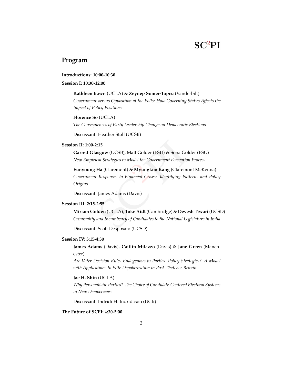## **Program**

#### **Introductions: 10:00-10:30**

**Session I: 10:30-12:00**

**Kathleen Bawn** (UCLA) & **Zeynep Somer-Topcu** (Vanderbilt)

*Government versus Opposition at the Polls: How Governing Status Affects the Impact of Policy Positions*

**Florence So** (UCLA) *The Consequences of Party Leadership Change on Democratic Elections*

Discussant: Heather Stoll (UCSB)

#### **Session II: 1:00-2:15**

**Garrett Glasgow** (UCSB), Matt Golder (PSU) & Sona Golder (PSU) *New Empirical Strategies to Model the Government Formation Process*

*Aatt Golder (PSU) & Sona Golde<br>Aodel the Government Formation I<br>& Myungkoo Kang (Claremon<br>nancial Crises: Identifying Patter* **Eunyoung Ha** (Claremont) & **Myungkoo Kang** (Claremont McKenna) *Government Responses to Financial Crises: Identifying Patterns and Policy Origins*

Discussant: James Adams (Davis)

#### **Session III: 2:15-2:55**

Responses to Financial Crises:<br>James Adams (Davis)<br>2:55<br>Iden (UCLA), Toke Aidt (Camb.<br>and Incumbency of Candidates to t<br>Scott Desposato (UCSD) **Miriam Golden** (UCLA), **Toke Aidt** (Cambridge) & **Devesh Tiwari** (UCSD) *Criminality and Incumbency of Candidates to the National Legislature in India*

Discussant: Scott Desposato (UCSD)

#### **Session IV: 3:15-4:30**

**James Adams** (Davis), **Caitlin Milazzo** (Davis) & **Jane Green** (Manchester)

*Are Voter Decision Rules Endogenous to Parties' Policy Strategies? A Model with Applications to Elite Depolarization in Post-Thatcher Britain*

**Jae H. Shin** (UCLA)

*Why Personalistic Parties? The Choice of Candidate-Centered Electoral Systems in New Democracies*

Discussant: Indridi H. Indridason (UCR)

#### **The Future of SCPI: 4:30-5:00**